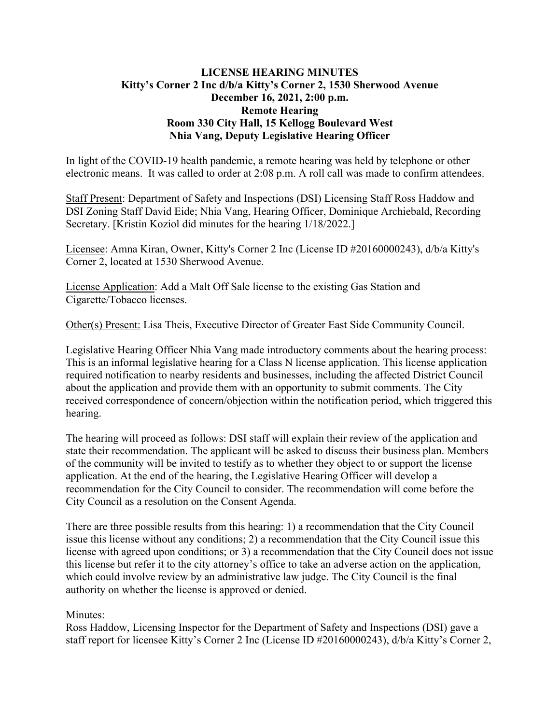## **LICENSE HEARING MINUTES Kitty's Corner 2 Inc d/b/a Kitty's Corner 2, 1530 Sherwood Avenue December 16, 2021, 2:00 p.m. Remote Hearing Room 330 City Hall, 15 Kellogg Boulevard West Nhia Vang, Deputy Legislative Hearing Officer**

In light of the COVID-19 health pandemic, a remote hearing was held by telephone or other electronic means. It was called to order at 2:08 p.m. A roll call was made to confirm attendees.

Staff Present: Department of Safety and Inspections (DSI) Licensing Staff Ross Haddow and DSI Zoning Staff David Eide; Nhia Vang, Hearing Officer, Dominique Archiebald, Recording Secretary. [Kristin Koziol did minutes for the hearing 1/18/2022.]

Licensee: Amna Kiran, Owner, Kitty's Corner 2 Inc (License ID #20160000243), d/b/a Kitty's Corner 2, located at 1530 Sherwood Avenue.

License Application: Add a Malt Off Sale license to the existing Gas Station and Cigarette/Tobacco licenses.

Other(s) Present: Lisa Theis, Executive Director of Greater East Side Community Council.

Legislative Hearing Officer Nhia Vang made introductory comments about the hearing process: This is an informal legislative hearing for a Class N license application. This license application required notification to nearby residents and businesses, including the affected District Council about the application and provide them with an opportunity to submit comments. The City received correspondence of concern/objection within the notification period, which triggered this hearing.

The hearing will proceed as follows: DSI staff will explain their review of the application and state their recommendation. The applicant will be asked to discuss their business plan. Members of the community will be invited to testify as to whether they object to or support the license application. At the end of the hearing, the Legislative Hearing Officer will develop a recommendation for the City Council to consider. The recommendation will come before the City Council as a resolution on the Consent Agenda.

There are three possible results from this hearing: 1) a recommendation that the City Council issue this license without any conditions; 2) a recommendation that the City Council issue this license with agreed upon conditions; or 3) a recommendation that the City Council does not issue this license but refer it to the city attorney's office to take an adverse action on the application, which could involve review by an administrative law judge. The City Council is the final authority on whether the license is approved or denied.

## Minutes:

Ross Haddow, Licensing Inspector for the Department of Safety and Inspections (DSI) gave a staff report for licensee Kitty's Corner 2 Inc (License ID #20160000243), d/b/a Kitty's Corner 2,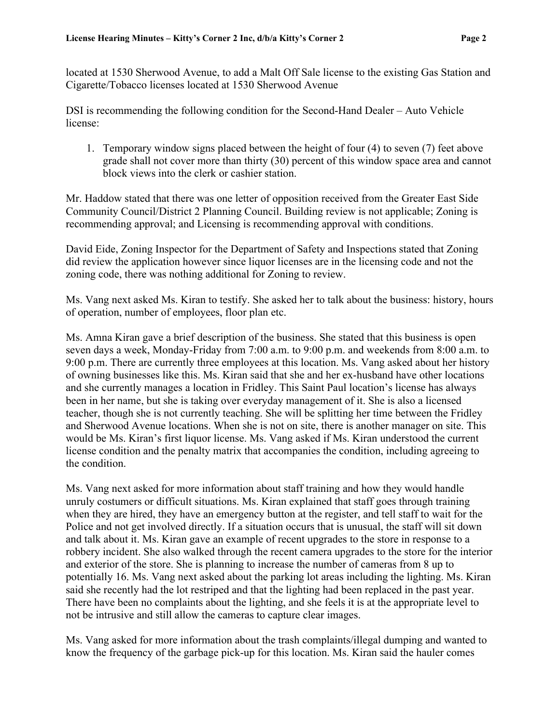located at 1530 Sherwood Avenue, to add a Malt Off Sale license to the existing Gas Station and Cigarette/Tobacco licenses located at 1530 Sherwood Avenue

DSI is recommending the following condition for the Second-Hand Dealer – Auto Vehicle license:

1. Temporary window signs placed between the height of four (4) to seven (7) feet above grade shall not cover more than thirty (30) percent of this window space area and cannot block views into the clerk or cashier station.

Mr. Haddow stated that there was one letter of opposition received from the Greater East Side Community Council/District 2 Planning Council. Building review is not applicable; Zoning is recommending approval; and Licensing is recommending approval with conditions.

David Eide, Zoning Inspector for the Department of Safety and Inspections stated that Zoning did review the application however since liquor licenses are in the licensing code and not the zoning code, there was nothing additional for Zoning to review.

Ms. Vang next asked Ms. Kiran to testify. She asked her to talk about the business: history, hours of operation, number of employees, floor plan etc.

Ms. Amna Kiran gave a brief description of the business. She stated that this business is open seven days a week, Monday-Friday from 7:00 a.m. to 9:00 p.m. and weekends from 8:00 a.m. to 9:00 p.m. There are currently three employees at this location. Ms. Vang asked about her history of owning businesses like this. Ms. Kiran said that she and her ex-husband have other locations and she currently manages a location in Fridley. This Saint Paul location's license has always been in her name, but she is taking over everyday management of it. She is also a licensed teacher, though she is not currently teaching. She will be splitting her time between the Fridley and Sherwood Avenue locations. When she is not on site, there is another manager on site. This would be Ms. Kiran's first liquor license. Ms. Vang asked if Ms. Kiran understood the current license condition and the penalty matrix that accompanies the condition, including agreeing to the condition.

Ms. Vang next asked for more information about staff training and how they would handle unruly costumers or difficult situations. Ms. Kiran explained that staff goes through training when they are hired, they have an emergency button at the register, and tell staff to wait for the Police and not get involved directly. If a situation occurs that is unusual, the staff will sit down and talk about it. Ms. Kiran gave an example of recent upgrades to the store in response to a robbery incident. She also walked through the recent camera upgrades to the store for the interior and exterior of the store. She is planning to increase the number of cameras from 8 up to potentially 16. Ms. Vang next asked about the parking lot areas including the lighting. Ms. Kiran said she recently had the lot restriped and that the lighting had been replaced in the past year. There have been no complaints about the lighting, and she feels it is at the appropriate level to not be intrusive and still allow the cameras to capture clear images.

Ms. Vang asked for more information about the trash complaints/illegal dumping and wanted to know the frequency of the garbage pick-up for this location. Ms. Kiran said the hauler comes